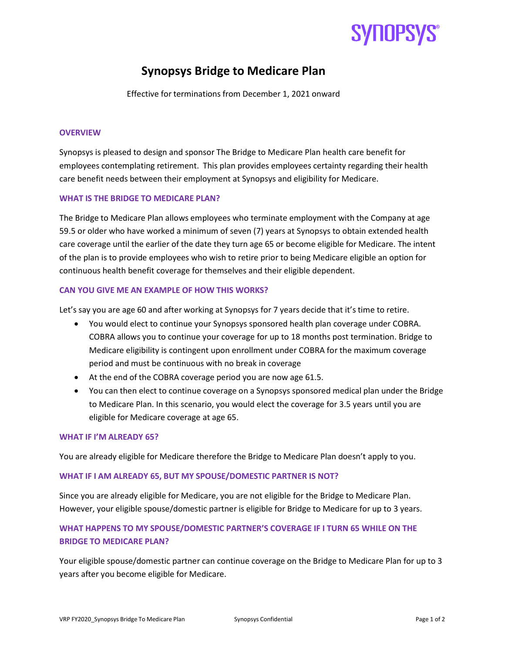# **SYHOPSYS**

### Synopsys Bridge to Medicare Plan

Effective for terminations from December 1, 2021 onward

### **OVERVIEW**

Synopsys is pleased to design and sponsor The Bridge to Medicare Plan health care benefit for employees contemplating retirement. This plan provides employees certainty regarding their health care benefit needs between their employment at Synopsys and eligibility for Medicare.

### WHAT IS THE BRIDGE TO MEDICARE PLAN?

The Bridge to Medicare Plan allows employees who terminate employment with the Company at age 59.5 or older who have worked a minimum of seven (7) years at Synopsys to obtain extended health care coverage until the earlier of the date they turn age 65 or become eligible for Medicare. The intent of the plan is to provide employees who wish to retire prior to being Medicare eligible an option for continuous health benefit coverage for themselves and their eligible dependent.

### CAN YOU GIVE ME AN EXAMPLE OF HOW THIS WORKS?

Let's say you are age 60 and after working at Synopsys for 7 years decide that it's time to retire.

- You would elect to continue your Synopsys sponsored health plan coverage under COBRA. COBRA allows you to continue your coverage for up to 18 months post termination. Bridge to Medicare eligibility is contingent upon enrollment under COBRA for the maximum coverage period and must be continuous with no break in coverage
- At the end of the COBRA coverage period you are now age 61.5.
- You can then elect to continue coverage on a Synopsys sponsored medical plan under the Bridge to Medicare Plan. In this scenario, you would elect the coverage for 3.5 years until you are eligible for Medicare coverage at age 65.

### WHAT IF I'M ALREADY 65?

You are already eligible for Medicare therefore the Bridge to Medicare Plan doesn't apply to you.

### WHAT IF I AM ALREADY 65, BUT MY SPOUSE/DOMESTIC PARTNER IS NOT?

Since you are already eligible for Medicare, you are not eligible for the Bridge to Medicare Plan. However, your eligible spouse/domestic partner is eligible for Bridge to Medicare for up to 3 years.

### WHAT HAPPENS TO MY SPOUSE/DOMESTIC PARTNER'S COVERAGE IF I TURN 65 WHILE ON THE BRIDGE TO MEDICARE PLAN?

Your eligible spouse/domestic partner can continue coverage on the Bridge to Medicare Plan for up to 3 years after you become eligible for Medicare.